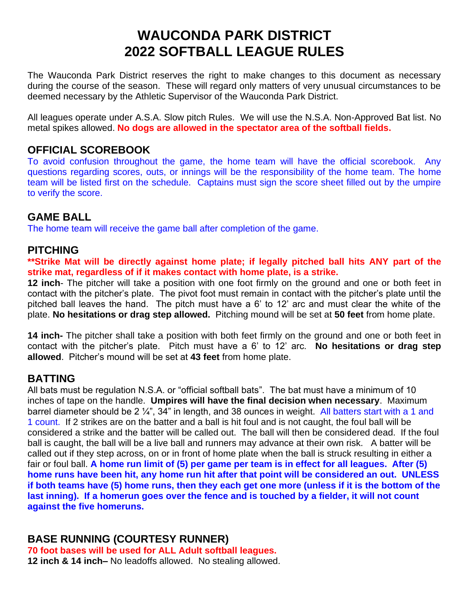# **WAUCONDA PARK DISTRICT 2022 SOFTBALL LEAGUE RULES**

The Wauconda Park District reserves the right to make changes to this document as necessary during the course of the season. These will regard only matters of very unusual circumstances to be deemed necessary by the Athletic Supervisor of the Wauconda Park District.

All leagues operate under A.S.A. Slow pitch Rules. We will use the N.S.A. Non-Approved Bat list. No metal spikes allowed. **No dogs are allowed in the spectator area of the softball fields.**

#### **OFFICIAL SCOREBOOK**

To avoid confusion throughout the game, the home team will have the official scorebook. Any questions regarding scores, outs, or innings will be the responsibility of the home team. The home team will be listed first on the schedule. Captains must sign the score sheet filled out by the umpire to verify the score.

#### **GAME BALL**

The home team will receive the game ball after completion of the game.

#### **PITCHING**

**\*\*Strike Mat will be directly against home plate; if legally pitched ball hits ANY part of the strike mat, regardless of if it makes contact with home plate, is a strike.**

**12 inch**- The pitcher will take a position with one foot firmly on the ground and one or both feet in contact with the pitcher's plate. The pivot foot must remain in contact with the pitcher's plate until the pitched ball leaves the hand. The pitch must have a 6' to 12' arc and must clear the white of the plate. **No hesitations or drag step allowed.** Pitching mound will be set at **50 feet** from home plate.

**14 inch-** The pitcher shall take a position with both feet firmly on the ground and one or both feet in contact with the pitcher's plate. Pitch must have a 6' to 12' arc. **No hesitations or drag step allowed**. Pitcher's mound will be set at **43 feet** from home plate.

### **BATTING**

All bats must be regulation N.S.A. or "official softball bats". The bat must have a minimum of 10 inches of tape on the handle. **Umpires will have the final decision when necessary**. Maximum barrel diameter should be 2 1/4", 34" in length, and 38 ounces in weight. All batters start with a 1 and 1 count. If 2 strikes are on the batter and a ball is hit foul and is not caught, the foul ball will be considered a strike and the batter will be called out. The ball will then be considered dead. If the foul ball is caught, the ball will be a live ball and runners may advance at their own risk. A batter will be called out if they step across, on or in front of home plate when the ball is struck resulting in either a fair or foul ball. **A home run limit of (5) per game per team is in effect for all leagues. After (5) home runs have been hit, any home run hit after that point will be considered an out. UNLESS if both teams have (5) home runs, then they each get one more (unless if it is the bottom of the last inning). If a homerun goes over the fence and is touched by a fielder, it will not count against the five homeruns.**

## **BASE RUNNING (COURTESY RUNNER)**

**70 foot bases will be used for ALL Adult softball leagues. 12 inch & 14 inch–** No leadoffs allowed. No stealing allowed.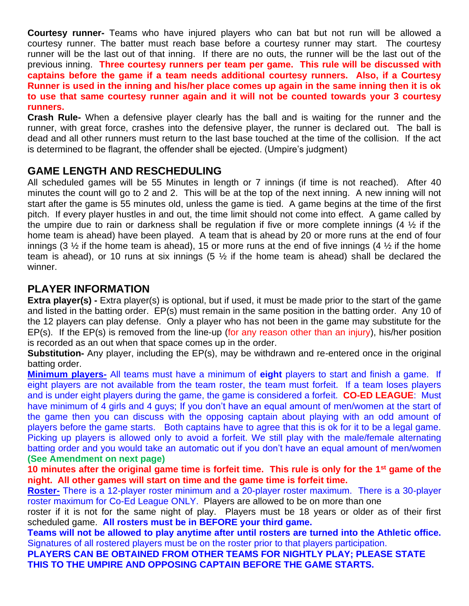**Courtesy runner-** Teams who have injured players who can bat but not run will be allowed a courtesy runner. The batter must reach base before a courtesy runner may start. The courtesy runner will be the last out of that inning. If there are no outs, the runner will be the last out of the previous inning. **Three courtesy runners per team per game. This rule will be discussed with captains before the game if a team needs additional courtesy runners. Also, if a Courtesy Runner is used in the inning and his/her place comes up again in the same inning then it is ok to use that same courtesy runner again and it will not be counted towards your 3 courtesy runners.**

**Crash Rule-** When a defensive player clearly has the ball and is waiting for the runner and the runner, with great force, crashes into the defensive player, the runner is declared out. The ball is dead and all other runners must return to the last base touched at the time of the collision. If the act is determined to be flagrant, the offender shall be ejected. (Umpire's judgment)

## **GAME LENGTH AND RESCHEDULING**

All scheduled games will be 55 Minutes in length or 7 innings (if time is not reached). After 40 minutes the count will go to 2 and 2. This will be at the top of the next inning. A new inning will not start after the game is 55 minutes old, unless the game is tied. A game begins at the time of the first pitch. If every player hustles in and out, the time limit should not come into effect. A game called by the umpire due to rain or darkness shall be regulation if five or more complete innings  $(4\frac{1}{2})$  if the home team is ahead) have been played. A team that is ahead by 20 or more runs at the end of four innings (3  $\frac{1}{2}$  if the home team is ahead), 15 or more runs at the end of five innings (4  $\frac{1}{2}$  if the home team is ahead), or 10 runs at six innings (5  $\frac{1}{2}$  if the home team is ahead) shall be declared the winner.

### **PLAYER INFORMATION**

**Extra player(s)** - Extra player(s) is optional, but if used, it must be made prior to the start of the game and listed in the batting order. EP(s) must remain in the same position in the batting order. Any 10 of the 12 players can play defense. Only a player who has not been in the game may substitute for the EP(s). If the EP(s) is removed from the line-up (for any reason other than an injury), his/her position is recorded as an out when that space comes up in the order.

**Substitution-** Any player, including the EP(s), may be withdrawn and re-entered once in the original batting order.

**Minimum players-** All teams must have a minimum of **eight** players to start and finish a game. If eight players are not available from the team roster, the team must forfeit. If a team loses players and is under eight players during the game, the game is considered a forfeit. **CO-ED LEAGUE**: Must have minimum of 4 girls and 4 guys; If you don't have an equal amount of men/women at the start of the game then you can discuss with the opposing captain about playing with an odd amount of players before the game starts. Both captains have to agree that this is ok for it to be a legal game. Picking up players is allowed only to avoid a forfeit. We still play with the male/female alternating batting order and you would take an automatic out if you don't have an equal amount of men/women **(See Amendment on next page)**

**10 minutes after the original game time is forfeit time. This rule is only for the 1st game of the night. All other games will start on time and the game time is forfeit time.**

**Roster-** There is a 12-player roster minimum and a 20-player roster maximum. There is a 30-player roster maximum for Co-Ed League ONLY. Players are allowed to be on more than one

roster if it is not for the same night of play. Players must be 18 years or older as of their first scheduled game. **All rosters must be in BEFORE your third game.** 

**Teams will not be allowed to play anytime after until rosters are turned into the Athletic office.**  Signatures of all rostered players must be on the roster prior to that players participation.

**PLAYERS CAN BE OBTAINED FROM OTHER TEAMS FOR NIGHTLY PLAY; PLEASE STATE THIS TO THE UMPIRE AND OPPOSING CAPTAIN BEFORE THE GAME STARTS.**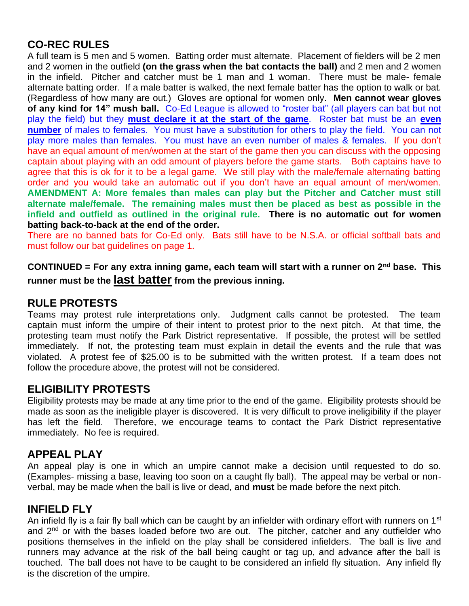## **CO-REC RULES**

A full team is 5 men and 5 women. Batting order must alternate. Placement of fielders will be 2 men and 2 women in the outfield **(on the grass when the bat contacts the ball)** and 2 men and 2 women in the infield. Pitcher and catcher must be 1 man and 1 woman. There must be male- female alternate batting order. If a male batter is walked, the next female batter has the option to walk or bat. (Regardless of how many are out.) Gloves are optional for women only. **Men cannot wear gloves of any kind for 14" mush ball.** Co-Ed League is allowed to "roster bat" (all players can bat but not play the field) but they **must declare it at the start of the game**. Roster bat must be an **even number** of males to females. You must have a substitution for others to play the field. You can not play more males than females. You must have an even number of males & females. If you don't have an equal amount of men/women at the start of the game then you can discuss with the opposing captain about playing with an odd amount of players before the game starts. Both captains have to agree that this is ok for it to be a legal game. We still play with the male/female alternating batting order and you would take an automatic out if you don't have an equal amount of men/women. **AMENDMENT A: More females than males can play but the Pitcher and Catcher must still alternate male/female. The remaining males must then be placed as best as possible in the infield and outfield as outlined in the original rule. There is no automatic out for women batting back-to-back at the end of the order.** 

There are no banned bats for Co-Ed only. Bats still have to be N.S.A. or official softball bats and must follow our bat guidelines on page 1.

**CONTINUED = For any extra inning game, each team will start with a runner on 2nd base. This runner must be the last batter from the previous inning.**

#### **RULE PROTESTS**

Teams may protest rule interpretations only. Judgment calls cannot be protested. The team captain must inform the umpire of their intent to protest prior to the next pitch. At that time, the protesting team must notify the Park District representative. If possible, the protest will be settled immediately. If not, the protesting team must explain in detail the events and the rule that was violated. A protest fee of \$25.00 is to be submitted with the written protest. If a team does not follow the procedure above, the protest will not be considered.

#### **ELIGIBILITY PROTESTS**

Eligibility protests may be made at any time prior to the end of the game. Eligibility protests should be made as soon as the ineligible player is discovered. It is very difficult to prove ineligibility if the player has left the field. Therefore, we encourage teams to contact the Park District representative immediately. No fee is required.

#### **APPEAL PLAY**

An appeal play is one in which an umpire cannot make a decision until requested to do so. (Examples- missing a base, leaving too soon on a caught fly ball). The appeal may be verbal or nonverbal, may be made when the ball is live or dead, and **must** be made before the next pitch.

#### **INFIELD FLY**

An infield fly is a fair fly ball which can be caught by an infielder with ordinary effort with runners on 1<sup>st</sup> and 2<sup>nd</sup> or with the bases loaded before two are out. The pitcher, catcher and any outfielder who positions themselves in the infield on the play shall be considered infielders. The ball is live and runners may advance at the risk of the ball being caught or tag up, and advance after the ball is touched. The ball does not have to be caught to be considered an infield fly situation. Any infield fly is the discretion of the umpire.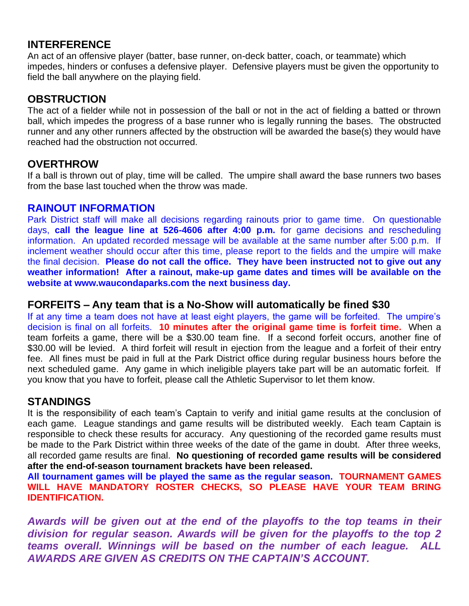#### **INTERFERENCE**

An act of an offensive player (batter, base runner, on-deck batter, coach, or teammate) which impedes, hinders or confuses a defensive player. Defensive players must be given the opportunity to field the ball anywhere on the playing field.

#### **OBSTRUCTION**

The act of a fielder while not in possession of the ball or not in the act of fielding a batted or thrown ball, which impedes the progress of a base runner who is legally running the bases. The obstructed runner and any other runners affected by the obstruction will be awarded the base(s) they would have reached had the obstruction not occurred.

#### **OVERTHROW**

If a ball is thrown out of play, time will be called. The umpire shall award the base runners two bases from the base last touched when the throw was made.

#### **RAINOUT INFORMATION**

Park District staff will make all decisions regarding rainouts prior to game time. On questionable days, **call the league line at 526-4606 after 4:00 p.m.** for game decisions and rescheduling information. An updated recorded message will be available at the same number after 5:00 p.m. If inclement weather should occur after this time, please report to the fields and the umpire will make the final decision. **Please do not call the office. They have been instructed not to give out any weather information! After a rainout, make-up game dates and times will be available on the website at www.waucondaparks.com the next business day.** 

#### **FORFEITS – Any team that is a No-Show will automatically be fined \$30**

If at any time a team does not have at least eight players, the game will be forfeited. The umpire's decision is final on all forfeits. **10 minutes after the original game time is forfeit time.** When a team forfeits a game, there will be a \$30.00 team fine. If a second forfeit occurs, another fine of \$30.00 will be levied. A third forfeit will result in ejection from the league and a forfeit of their entry fee. All fines must be paid in full at the Park District office during regular business hours before the next scheduled game. Any game in which ineligible players take part will be an automatic forfeit. If you know that you have to forfeit, please call the Athletic Supervisor to let them know.

### **STANDINGS**

It is the responsibility of each team's Captain to verify and initial game results at the conclusion of each game. League standings and game results will be distributed weekly. Each team Captain is responsible to check these results for accuracy. Any questioning of the recorded game results must be made to the Park District within three weeks of the date of the game in doubt. After three weeks, all recorded game results are final. **No questioning of recorded game results will be considered after the end-of-season tournament brackets have been released.** 

**All tournament games will be played the same as the regular season. TOURNAMENT GAMES WILL HAVE MANDATORY ROSTER CHECKS, SO PLEASE HAVE YOUR TEAM BRING IDENTIFICATION.**

*Awards will be given out at the end of the playoffs to the top teams in their division for regular season. Awards will be given for the playoffs to the top 2 teams overall. Winnings will be based on the number of each league. ALL AWARDS ARE GIVEN AS CREDITS ON THE CAPTAIN'S ACCOUNT.*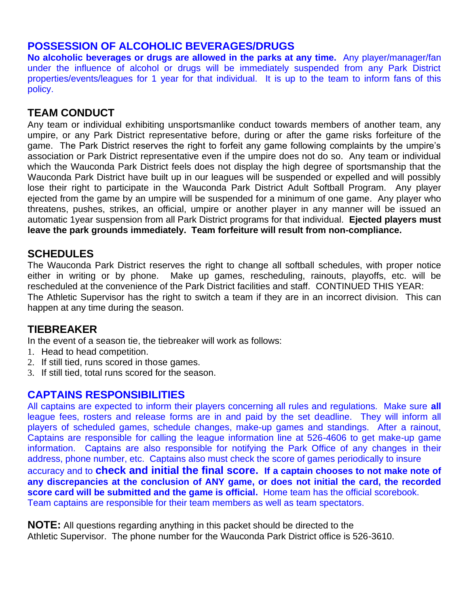## **POSSESSION OF ALCOHOLIC BEVERAGES/DRUGS**

**No alcoholic beverages or drugs are allowed in the parks at any time.** Any player/manager/fan under the influence of alcohol or drugs will be immediately suspended from any Park District properties/events/leagues for 1 year for that individual. It is up to the team to inform fans of this policy.

## **TEAM CONDUCT**

Any team or individual exhibiting unsportsmanlike conduct towards members of another team, any umpire, or any Park District representative before, during or after the game risks forfeiture of the game. The Park District reserves the right to forfeit any game following complaints by the umpire's association or Park District representative even if the umpire does not do so. Any team or individual which the Wauconda Park District feels does not display the high degree of sportsmanship that the Wauconda Park District have built up in our leagues will be suspended or expelled and will possibly lose their right to participate in the Wauconda Park District Adult Softball Program. Any player ejected from the game by an umpire will be suspended for a minimum of one game. Any player who threatens, pushes, strikes, an official, umpire or another player in any manner will be issued an automatic 1year suspension from all Park District programs for that individual. **Ejected players must leave the park grounds immediately. Team forfeiture will result from non-compliance.**

### **SCHEDULES**

The Wauconda Park District reserves the right to change all softball schedules, with proper notice either in writing or by phone. Make up games, rescheduling, rainouts, playoffs, etc. will be rescheduled at the convenience of the Park District facilities and staff. CONTINUED THIS YEAR: The Athletic Supervisor has the right to switch a team if they are in an incorrect division. This can happen at any time during the season.

### **TIEBREAKER**

In the event of a season tie, the tiebreaker will work as follows:

- 1. Head to head competition.
- 2. If still tied, runs scored in those games.
- 3. If still tied, total runs scored for the season.

### **CAPTAINS RESPONSIBILITIES**

All captains are expected to inform their players concerning all rules and regulations. Make sure **all** league fees, rosters and release forms are in and paid by the set deadline. They will inform all players of scheduled games, schedule changes, make-up games and standings. After a rainout, Captains are responsible for calling the league information line at 526-4606 to get make-up game information.Captains are also responsible for notifying the Park Office of any changes in their address, phone number, etc. Captains also must check the score of games periodically to insure accuracy and to **check and initial the final score. If a captain chooses to not make note of any discrepancies at the conclusion of ANY game, or does not initial the card, the recorded score card will be submitted and the game is official.** Home team has the official scorebook. Team captains are responsible for their team members as well as team spectators.

**NOTE:** All questions regarding anything in this packet should be directed to the Athletic Supervisor. The phone number for the Wauconda Park District office is 526-3610.